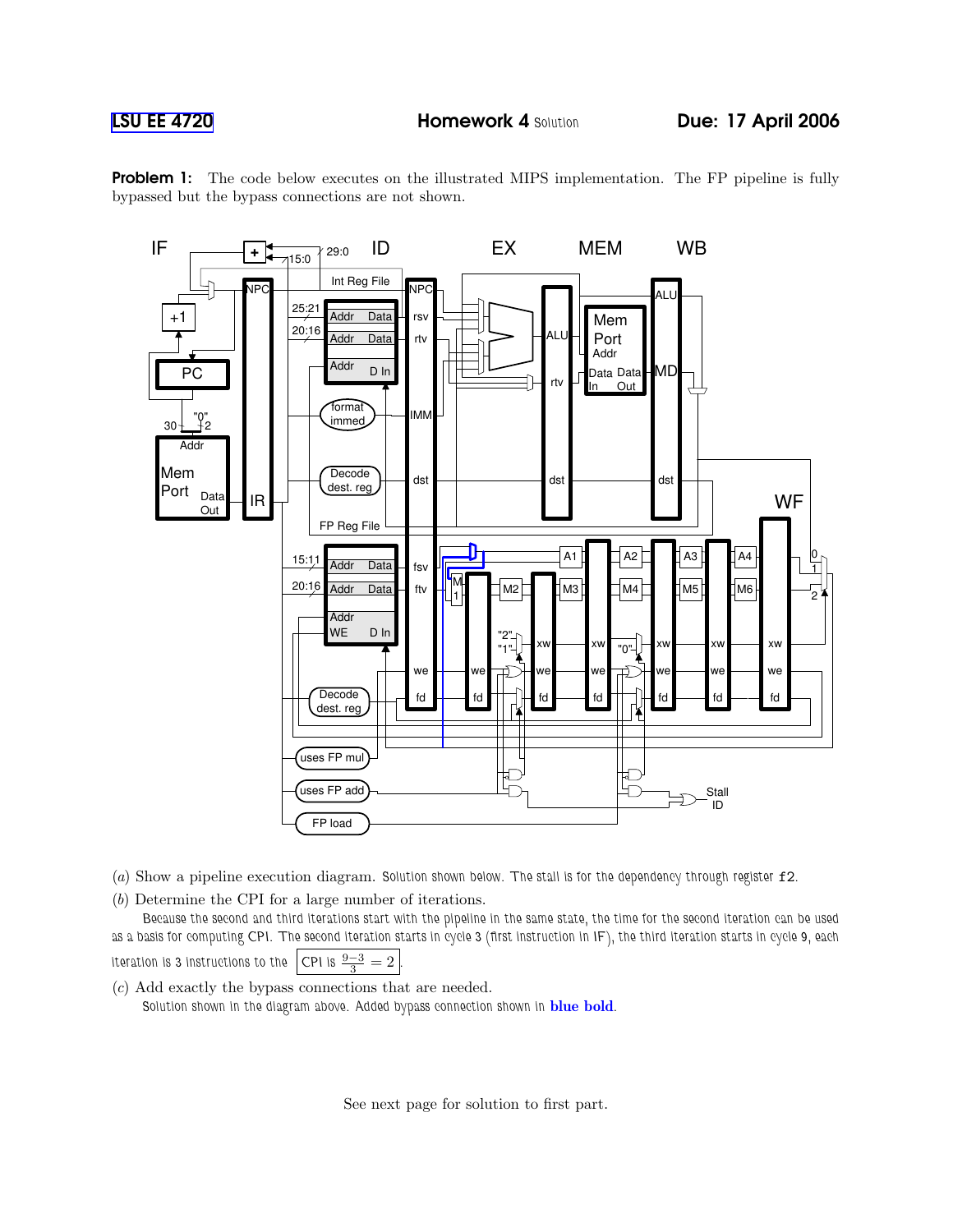

**Problem 1:** The code below executes on the illustrated MIPS implementation. The FP pipeline is fully bypassed but the bypass connections are not shown.

(a) Show a pipeline execution diagram. Solution shown below. The stall is for the dependency through register f2.

(b) Determine the CPI for a large number of iterations.

Because the second and third iterations start with the pipeline in the same state, the time for the second iteration can be used as a basis for computing CPI. The second iteration starts in cycle 3 (first instruction in IF), the third iteration starts in cycle 9, each iteration is 3 instructions to the CPI is  $\frac{9-3}{2} = 2$ 

(c) Add exactly the bypass connections that are needed. Solution shown in the diagram above. Added bypass connection shown in **blue bold**.

See next page for solution to first part.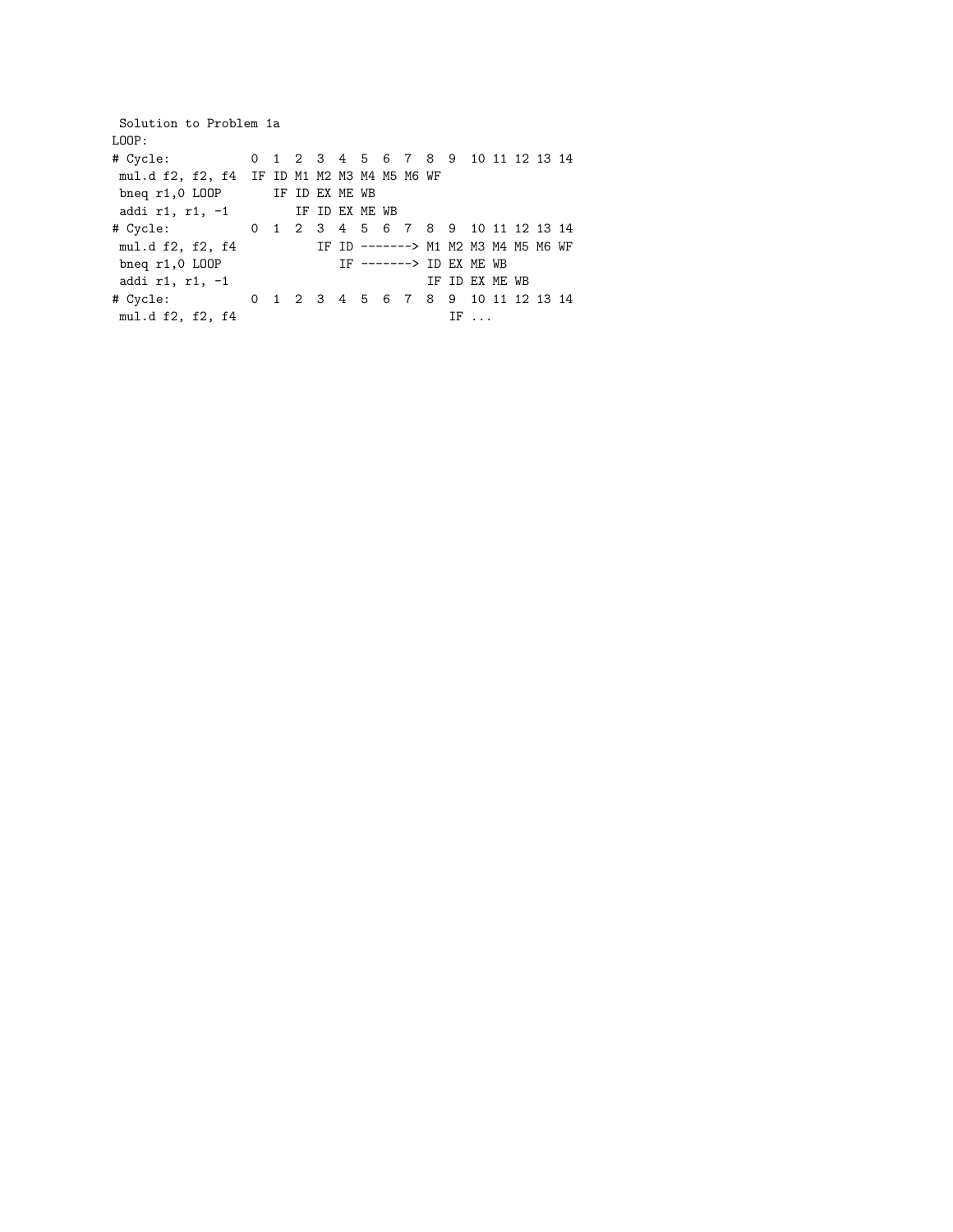Solution to Problem 1a LOOP: # Cycle: 0 1 2 3 4 5 6 7 8 9 10 11 12 13 14 mul.d f2, f2, f4 IF ID M1 M2 M3 M4 M5 M6 WF bneq r1,0 LOOP IF ID EX ME WB addi r1, r1, -1 IF ID EX ME WB # Cycle: 0 1 2 3 4 5 6 7 8 9 10 11 12 13 14 mul.d f2, f2, f4 IF ID -------> M1 M2 M3 M4 M5 M6 WF bneq r1,0 LOOP IF -------> ID EX ME WB addi r1, r1,  $-1$  IF ID EX ME WB # Cycle: 0 1 2 3 4 5 6 7 8 9 10 11 12 13 14 mul.d f2, f2, f4 IF ...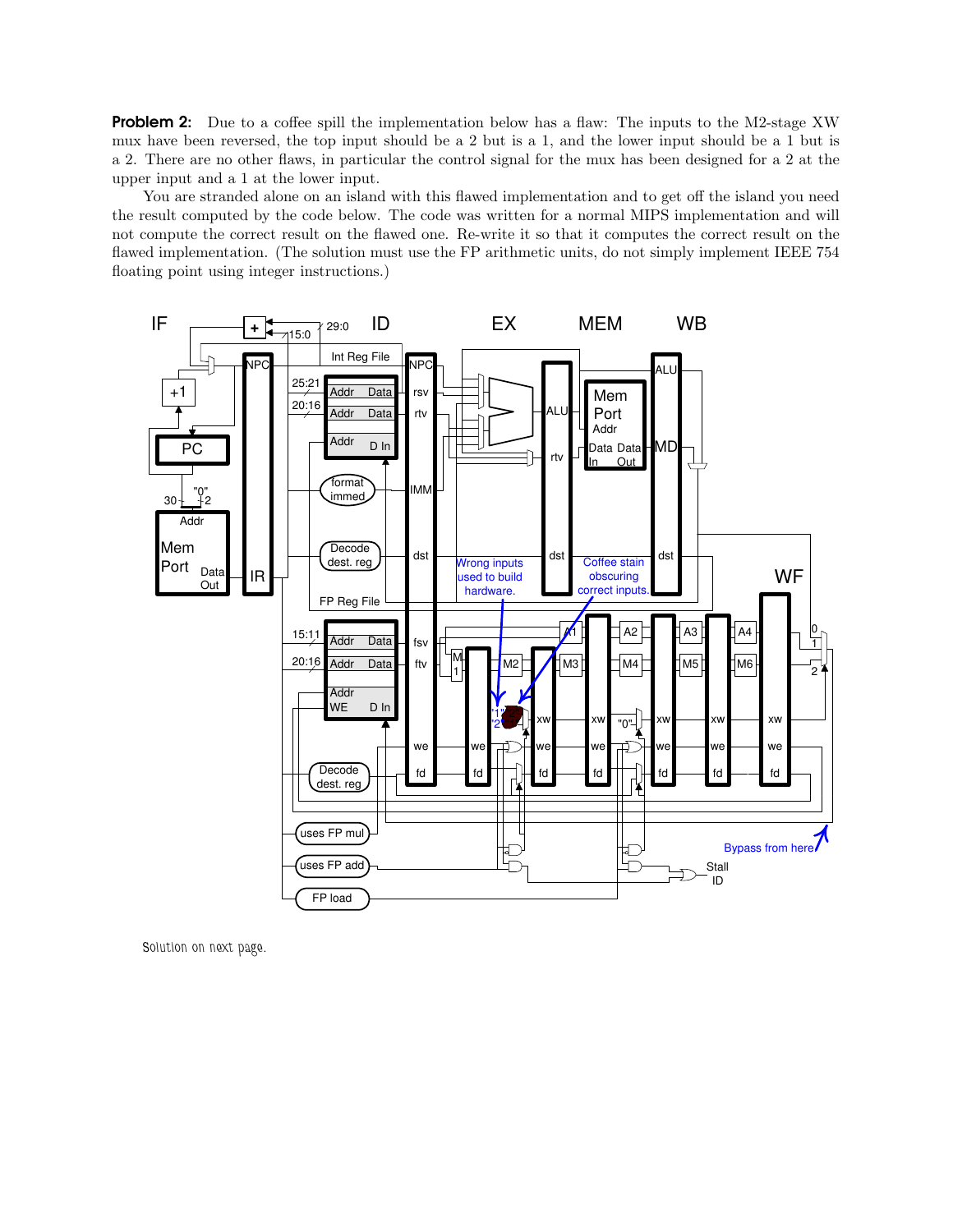**Problem 2:** Due to a coffee spill the implementation below has a flaw: The inputs to the M2-stage XW mux have been reversed, the top input should be a 2 but is a 1, and the lower input should be a 1 but is a 2. There are no other flaws, in particular the control signal for the mux has been designed for a 2 at the upper input and a 1 at the lower input.

You are stranded alone on an island with this flawed implementation and to get off the island you need the result computed by the code below. The code was written for a normal MIPS implementation and will not compute the correct result on the flawed one. Re-write it so that it computes the correct result on the flawed implementation. (The solution must use the FP arithmetic units, do not simply implement IEEE 754 floating point using integer instructions.)



Solution on next page.